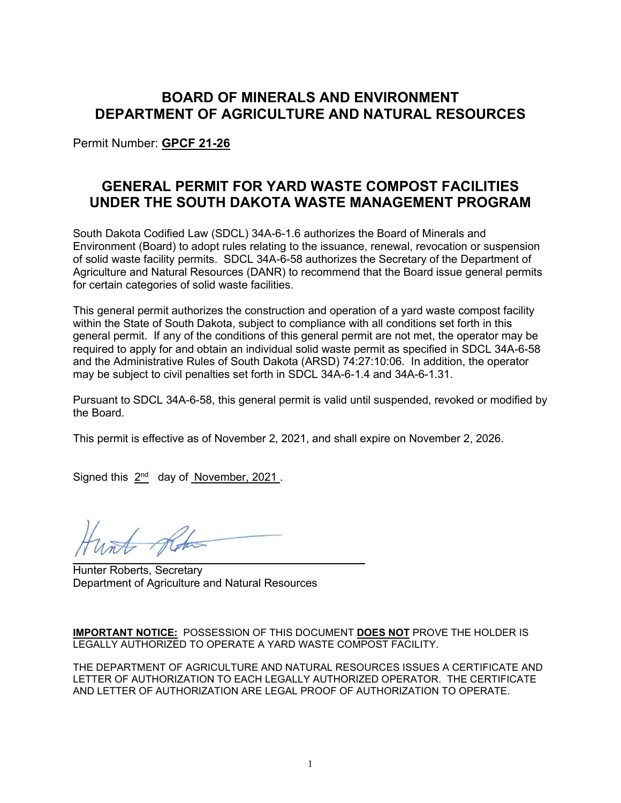# **BOARD OF MINERALS AND ENVIRONMENT DEPARTMENT OF AGRICULTURE AND NATURAL RESOURCES**

Permit Number: **GPCF 21-26**

# **GENERAL PERMIT FOR YARD WASTE COMPOST FACILITIES UNDER THE SOUTH DAKOTA WASTE MANAGEMENT PROGRAM**

South Dakota Codified Law (SDCL) 34A-6-1.6 authorizes the Board of Minerals and Environment (Board) to adopt rules relating to the issuance, renewal, revocation or suspension of solid waste facility permits. SDCL 34A-6-58 authorizes the Secretary of the Department of Agriculture and Natural Resources (DANR) to recommend that the Board issue general permits for certain categories of solid waste facilities.

This general permit authorizes the construction and operation of a yard waste compost facility within the State of South Dakota, subject to compliance with all conditions set forth in this general permit. If any of the conditions of this general permit are not met, the operator may be required to apply for and obtain an individual solid waste permit as specified in SDCL 34A-6-58 and the Administrative Rules of South Dakota (ARSD) 74:27:10:06. In addition, the operator may be subject to civil penalties set forth in SDCL 34A-6-1.4 and 34A-6-1.31.

Pursuant to SDCL 34A-6-58, this general permit is valid until suspended, revoked or modified by the Board.

This permit is effective as of November 2, 2021, and shall expire on November 2, 2026.

Signed this  $2^{nd}$  day of November, 2021.

Hunter Roberts, Secretary Department of Agriculture and Natural Resources

**IMPORTANT NOTICE:** POSSESSION OF THIS DOCUMENT **DOES NOT** PROVE THE HOLDER IS LEGALLY AUTHORIZED TO OPERATE A YARD WASTE COMPOST FACILITY.

THE DEPARTMENT OF AGRICULTURE AND NATURAL RESOURCES ISSUES A CERTIFICATE AND LETTER OF AUTHORIZATION TO EACH LEGALLY AUTHORIZED OPERATOR. THE CERTIFICATE AND LETTER OF AUTHORIZATION ARE LEGAL PROOF OF AUTHORIZATION TO OPERATE.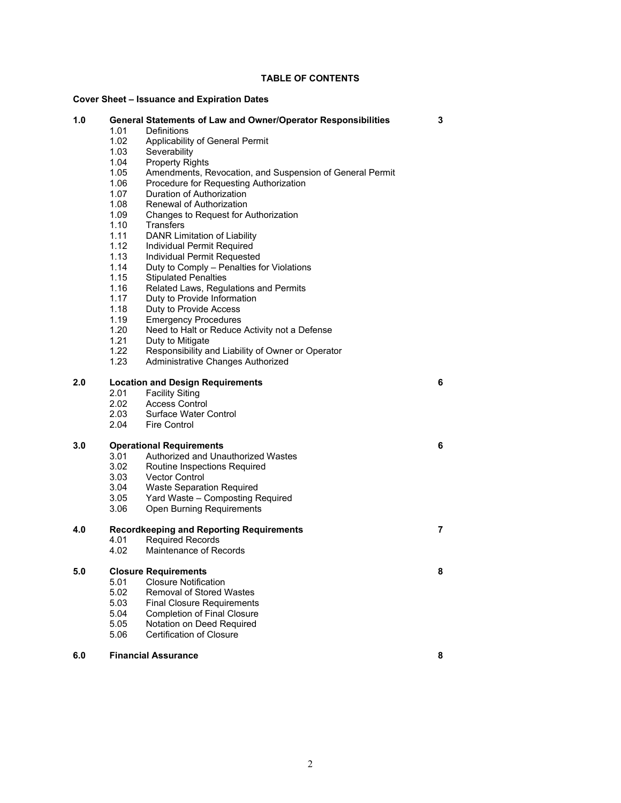## **TABLE OF CONTENTS**

#### **Cover Sheet – Issuance and Expiration Dates**

| 1.0 |                                                 | General Statements of Law and Owner/Operator Responsibilities | 3 |
|-----|-------------------------------------------------|---------------------------------------------------------------|---|
|     | 1.01                                            | Definitions                                                   |   |
|     | 1.02                                            | Applicability of General Permit                               |   |
|     | 1.03                                            | Severability                                                  |   |
|     | 1.04                                            | <b>Property Rights</b>                                        |   |
|     | 1.05                                            | Amendments, Revocation, and Suspension of General Permit      |   |
|     | 1.06                                            | Procedure for Requesting Authorization                        |   |
|     | 1.07                                            | Duration of Authorization                                     |   |
|     | 1.08                                            | Renewal of Authorization                                      |   |
|     | 1.09                                            | Changes to Request for Authorization                          |   |
|     | 1.10                                            | Transfers                                                     |   |
|     | 1.11                                            | DANR Limitation of Liability                                  |   |
|     | 1.12                                            | Individual Permit Required                                    |   |
|     | 1.13                                            | Individual Permit Requested                                   |   |
|     | 1.14                                            | Duty to Comply - Penalties for Violations                     |   |
|     | 1.15                                            | <b>Stipulated Penalties</b>                                   |   |
|     | 1.16                                            | Related Laws, Regulations and Permits                         |   |
|     | 1.17                                            | Duty to Provide Information                                   |   |
|     | 1.18                                            | Duty to Provide Access                                        |   |
|     | 1.19                                            | <b>Emergency Procedures</b>                                   |   |
|     | 1.20                                            | Need to Halt or Reduce Activity not a Defense                 |   |
|     | 1.21                                            | Duty to Mitigate                                              |   |
|     | 1.22                                            | Responsibility and Liability of Owner or Operator             |   |
|     | 1.23                                            | Administrative Changes Authorized                             |   |
|     |                                                 |                                                               |   |
| 2.0 | 6<br><b>Location and Design Requirements</b>    |                                                               |   |
|     | 2.01                                            | <b>Facility Siting</b>                                        |   |
|     | 2.02                                            | <b>Access Control</b>                                         |   |
|     | 2.03                                            | Surface Water Control                                         |   |
|     | 2.04                                            | <b>Fire Control</b>                                           |   |
|     |                                                 |                                                               |   |
| 3.0 | <b>Operational Requirements</b>                 |                                                               | 6 |
|     | 3.01                                            | Authorized and Unauthorized Wastes                            |   |
|     | 3.02                                            | Routine Inspections Required                                  |   |
|     | 3.03                                            | <b>Vector Control</b>                                         |   |
|     | 3.04                                            | <b>Waste Separation Required</b>                              |   |
|     | 3.05                                            | Yard Waste - Composting Required                              |   |
|     | 3.06                                            | <b>Open Burning Requirements</b>                              |   |
|     |                                                 |                                                               |   |
| 4.0 | <b>Recordkeeping and Reporting Requirements</b> |                                                               | 7 |
|     | 4.01                                            | <b>Required Records</b>                                       |   |
|     | 4.02                                            | Maintenance of Records                                        |   |
|     |                                                 |                                                               |   |
| 5.0 | <b>Closure Requirements</b>                     |                                                               | 8 |
|     | 5.01                                            | <b>Closure Notification</b>                                   |   |
|     | 5.02                                            | <b>Removal of Stored Wastes</b>                               |   |
|     | 5.03                                            | <b>Final Closure Requirements</b>                             |   |
|     | 5.04                                            | <b>Completion of Final Closure</b>                            |   |
|     | 5.05                                            | Notation on Deed Required                                     |   |
|     | 5.06                                            | Certification of Closure                                      |   |
|     |                                                 |                                                               |   |
| 6.0 | <b>Financial Assurance</b>                      |                                                               | 8 |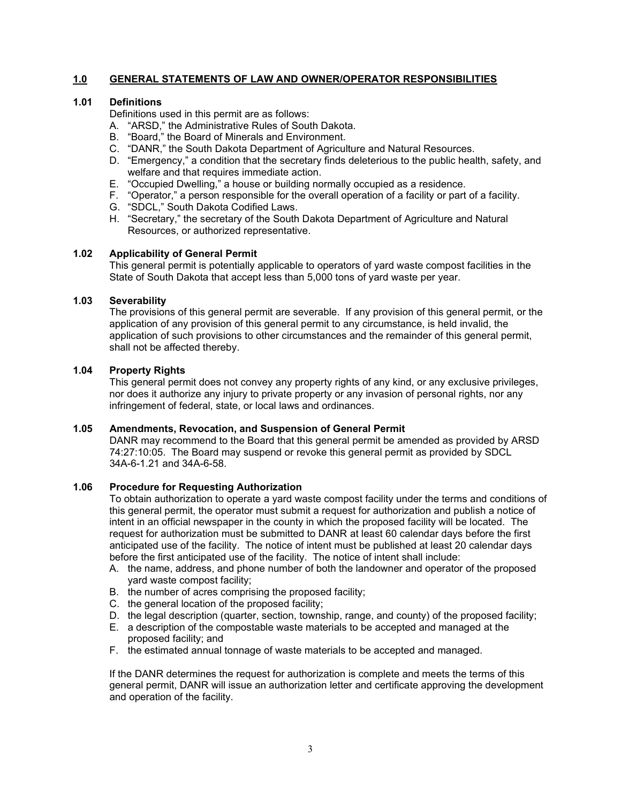# **1.0 GENERAL STATEMENTS OF LAW AND OWNER/OPERATOR RESPONSIBILITIES**

## **1.01 Definitions**

Definitions used in this permit are as follows:

- A. "ARSD," the Administrative Rules of South Dakota.
- B. "Board," the Board of Minerals and Environment.
- C. "DANR," the South Dakota Department of Agriculture and Natural Resources.
- D. "Emergency," a condition that the secretary finds deleterious to the public health, safety, and welfare and that requires immediate action.
- E. "Occupied Dwelling," a house or building normally occupied as a residence.
- F. "Operator," a person responsible for the overall operation of a facility or part of a facility.
- G. "SDCL," South Dakota Codified Laws.
- H. "Secretary," the secretary of the South Dakota Department of Agriculture and Natural Resources, or authorized representative.

## **1.02 Applicability of General Permit**

This general permit is potentially applicable to operators of yard waste compost facilities in the State of South Dakota that accept less than 5,000 tons of yard waste per year.

## **1.03 Severability**

The provisions of this general permit are severable. If any provision of this general permit, or the application of any provision of this general permit to any circumstance, is held invalid, the application of such provisions to other circumstances and the remainder of this general permit, shall not be affected thereby.

## **1.04 Property Rights**

This general permit does not convey any property rights of any kind, or any exclusive privileges, nor does it authorize any injury to private property or any invasion of personal rights, nor any infringement of federal, state, or local laws and ordinances.

## **1.05 Amendments, Revocation, and Suspension of General Permit**

DANR may recommend to the Board that this general permit be amended as provided by ARSD 74:27:10:05. The Board may suspend or revoke this general permit as provided by SDCL 34A-6-1.21 and 34A-6-58.

#### **1.06 Procedure for Requesting Authorization**

To obtain authorization to operate a yard waste compost facility under the terms and conditions of this general permit, the operator must submit a request for authorization and publish a notice of intent in an official newspaper in the county in which the proposed facility will be located. The request for authorization must be submitted to DANR at least 60 calendar days before the first anticipated use of the facility. The notice of intent must be published at least 20 calendar days before the first anticipated use of the facility. The notice of intent shall include:

- A. the name, address, and phone number of both the landowner and operator of the proposed yard waste compost facility;
- B. the number of acres comprising the proposed facility;
- C. the general location of the proposed facility;
- D. the legal description (quarter, section, township, range, and county) of the proposed facility;
- E. a description of the compostable waste materials to be accepted and managed at the proposed facility; and
- F. the estimated annual tonnage of waste materials to be accepted and managed.

If the DANR determines the request for authorization is complete and meets the terms of this general permit, DANR will issue an authorization letter and certificate approving the development and operation of the facility.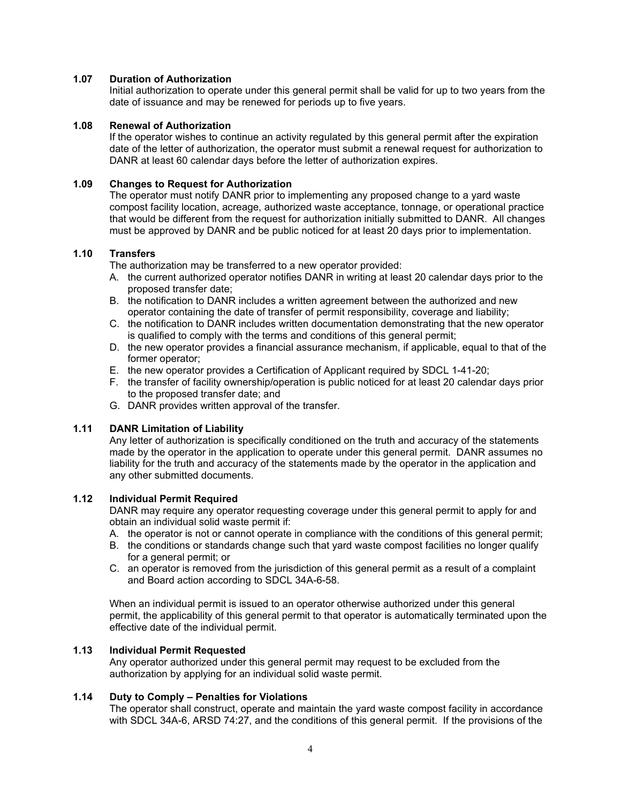## **1.07 Duration of Authorization**

Initial authorization to operate under this general permit shall be valid for up to two years from the date of issuance and may be renewed for periods up to five years.

## **1.08 Renewal of Authorization**

If the operator wishes to continue an activity regulated by this general permit after the expiration date of the letter of authorization, the operator must submit a renewal request for authorization to DANR at least 60 calendar days before the letter of authorization expires.

## **1.09 Changes to Request for Authorization**

The operator must notify DANR prior to implementing any proposed change to a yard waste compost facility location, acreage, authorized waste acceptance, tonnage, or operational practice that would be different from the request for authorization initially submitted to DANR. All changes must be approved by DANR and be public noticed for at least 20 days prior to implementation.

# **1.10 Transfers**

The authorization may be transferred to a new operator provided:

- A. the current authorized operator notifies DANR in writing at least 20 calendar days prior to the proposed transfer date;
- B. the notification to DANR includes a written agreement between the authorized and new operator containing the date of transfer of permit responsibility, coverage and liability;
- C. the notification to DANR includes written documentation demonstrating that the new operator is qualified to comply with the terms and conditions of this general permit;
- D. the new operator provides a financial assurance mechanism, if applicable, equal to that of the former operator;
- E. the new operator provides a Certification of Applicant required by SDCL 1-41-20;
- F. the transfer of facility ownership/operation is public noticed for at least 20 calendar days prior to the proposed transfer date; and
- G. DANR provides written approval of the transfer.

# **1.11 DANR Limitation of Liability**

Any letter of authorization is specifically conditioned on the truth and accuracy of the statements made by the operator in the application to operate under this general permit. DANR assumes no liability for the truth and accuracy of the statements made by the operator in the application and any other submitted documents.

#### **1.12 Individual Permit Required**

DANR may require any operator requesting coverage under this general permit to apply for and obtain an individual solid waste permit if:

- A. the operator is not or cannot operate in compliance with the conditions of this general permit;
- B. the conditions or standards change such that yard waste compost facilities no longer qualify for a general permit; or
- C. an operator is removed from the jurisdiction of this general permit as a result of a complaint and Board action according to SDCL 34A-6-58.

When an individual permit is issued to an operator otherwise authorized under this general permit, the applicability of this general permit to that operator is automatically terminated upon the effective date of the individual permit.

### **1.13 Individual Permit Requested**

Any operator authorized under this general permit may request to be excluded from the authorization by applying for an individual solid waste permit.

# **1.14 Duty to Comply – Penalties for Violations**

The operator shall construct, operate and maintain the yard waste compost facility in accordance with SDCL 34A-6, ARSD 74:27, and the conditions of this general permit. If the provisions of the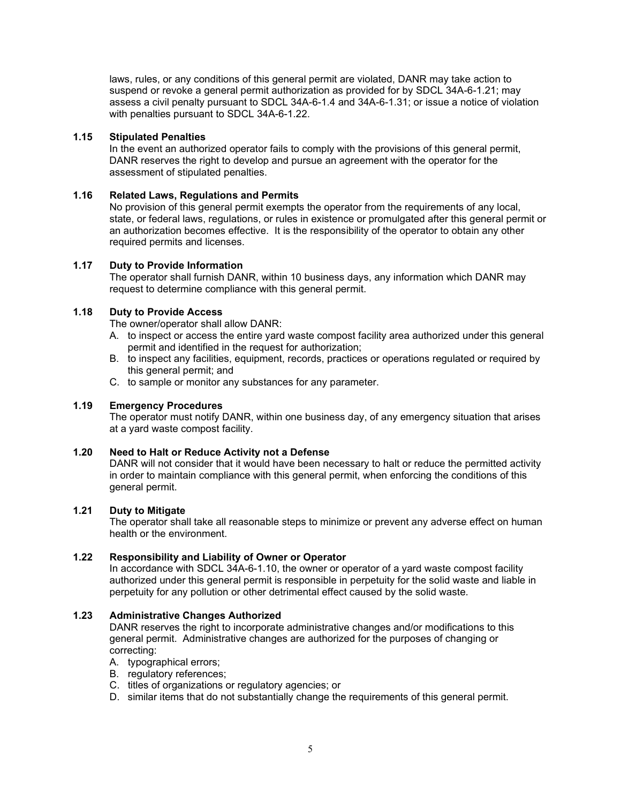laws, rules, or any conditions of this general permit are violated, DANR may take action to suspend or revoke a general permit authorization as provided for by SDCL 34A-6-1.21; may assess a civil penalty pursuant to SDCL 34A-6-1.4 and 34A-6-1.31; or issue a notice of violation with penalties pursuant to SDCL 34A-6-1.22.

## **1.15 Stipulated Penalties**

In the event an authorized operator fails to comply with the provisions of this general permit, DANR reserves the right to develop and pursue an agreement with the operator for the assessment of stipulated penalties.

## **1.16 Related Laws, Regulations and Permits**

No provision of this general permit exempts the operator from the requirements of any local, state, or federal laws, regulations, or rules in existence or promulgated after this general permit or an authorization becomes effective. It is the responsibility of the operator to obtain any other required permits and licenses.

## **1.17 Duty to Provide Information**

The operator shall furnish DANR, within 10 business days, any information which DANR may request to determine compliance with this general permit.

## **1.18 Duty to Provide Access**

The owner/operator shall allow DANR:

- A. to inspect or access the entire yard waste compost facility area authorized under this general permit and identified in the request for authorization;
- B. to inspect any facilities, equipment, records, practices or operations regulated or required by this general permit; and
- C. to sample or monitor any substances for any parameter.

#### **1.19 Emergency Procedures**

The operator must notify DANR, within one business day, of any emergency situation that arises at a yard waste compost facility.

## **1.20 Need to Halt or Reduce Activity not a Defense**

DANR will not consider that it would have been necessary to halt or reduce the permitted activity in order to maintain compliance with this general permit, when enforcing the conditions of this general permit.

#### **1.21 Duty to Mitigate**

The operator shall take all reasonable steps to minimize or prevent any adverse effect on human health or the environment.

#### **1.22 Responsibility and Liability of Owner or Operator**

In accordance with SDCL 34A-6-1.10, the owner or operator of a yard waste compost facility authorized under this general permit is responsible in perpetuity for the solid waste and liable in perpetuity for any pollution or other detrimental effect caused by the solid waste.

#### **1.23 Administrative Changes Authorized**

DANR reserves the right to incorporate administrative changes and/or modifications to this general permit. Administrative changes are authorized for the purposes of changing or correcting:

- A. typographical errors;
- B. regulatory references;
- C. titles of organizations or regulatory agencies; or
- D. similar items that do not substantially change the requirements of this general permit.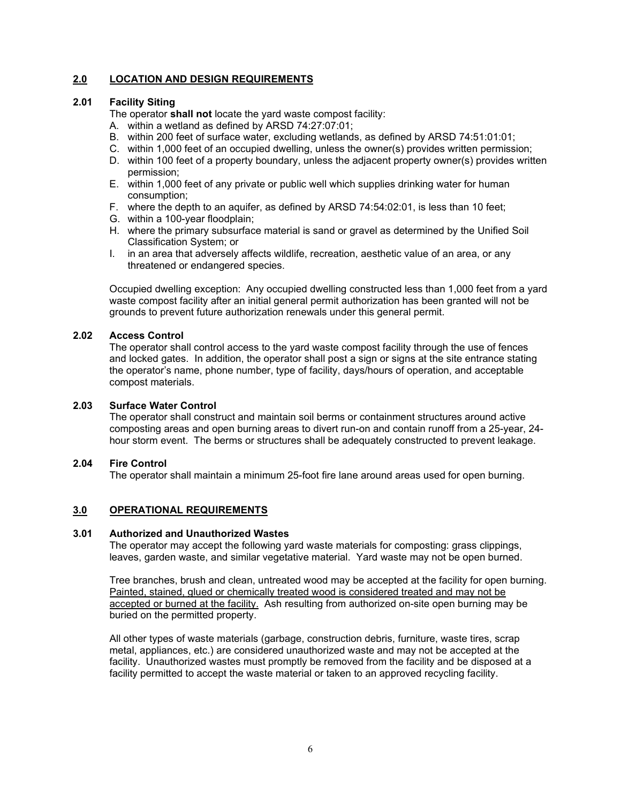# **2.0 LOCATION AND DESIGN REQUIREMENTS**

## **2.01 Facility Siting**

The operator **shall not** locate the yard waste compost facility:

- A. within a wetland as defined by ARSD 74:27:07:01;
- B. within 200 feet of surface water, excluding wetlands, as defined by ARSD 74:51:01:01;
- C. within 1,000 feet of an occupied dwelling, unless the owner(s) provides written permission;
- D. within 100 feet of a property boundary, unless the adjacent property owner(s) provides written permission;
- E. within 1,000 feet of any private or public well which supplies drinking water for human consumption;
- F. where the depth to an aquifer, as defined by ARSD 74:54:02:01, is less than 10 feet;
- G. within a 100-year floodplain;
- H. where the primary subsurface material is sand or gravel as determined by the Unified Soil Classification System; or
- I. in an area that adversely affects wildlife, recreation, aesthetic value of an area, or any threatened or endangered species.

Occupied dwelling exception: Any occupied dwelling constructed less than 1,000 feet from a yard waste compost facility after an initial general permit authorization has been granted will not be grounds to prevent future authorization renewals under this general permit.

## **2.02 Access Control**

The operator shall control access to the yard waste compost facility through the use of fences and locked gates. In addition, the operator shall post a sign or signs at the site entrance stating the operator's name, phone number, type of facility, days/hours of operation, and acceptable compost materials.

#### **2.03 Surface Water Control**

The operator shall construct and maintain soil berms or containment structures around active composting areas and open burning areas to divert run-on and contain runoff from a 25-year, 24 hour storm event. The berms or structures shall be adequately constructed to prevent leakage.

#### **2.04 Fire Control**

The operator shall maintain a minimum 25-foot fire lane around areas used for open burning.

# **3.0 OPERATIONAL REQUIREMENTS**

#### **3.01 Authorized and Unauthorized Wastes**

The operator may accept the following yard waste materials for composting: grass clippings, leaves, garden waste, and similar vegetative material. Yard waste may not be open burned.

Tree branches, brush and clean, untreated wood may be accepted at the facility for open burning. Painted, stained, glued or chemically treated wood is considered treated and may not be accepted or burned at the facility. Ash resulting from authorized on-site open burning may be buried on the permitted property.

All other types of waste materials (garbage, construction debris, furniture, waste tires, scrap metal, appliances, etc.) are considered unauthorized waste and may not be accepted at the facility. Unauthorized wastes must promptly be removed from the facility and be disposed at a facility permitted to accept the waste material or taken to an approved recycling facility.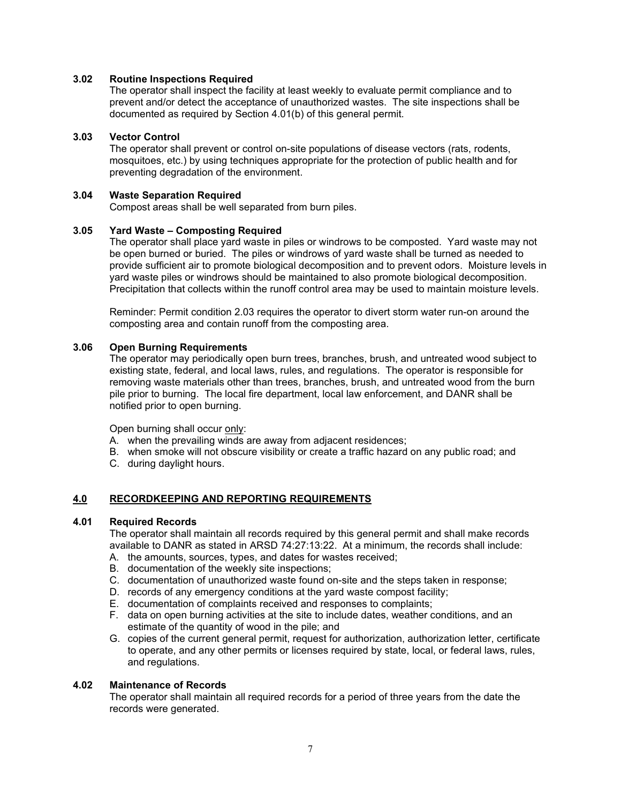## **3.02 Routine Inspections Required**

The operator shall inspect the facility at least weekly to evaluate permit compliance and to prevent and/or detect the acceptance of unauthorized wastes. The site inspections shall be documented as required by Section 4.01(b) of this general permit.

#### **3.03 Vector Control**

The operator shall prevent or control on-site populations of disease vectors (rats, rodents, mosquitoes, etc.) by using techniques appropriate for the protection of public health and for preventing degradation of the environment.

#### **3.04 Waste Separation Required**

Compost areas shall be well separated from burn piles.

## **3.05 Yard Waste – Composting Required**

The operator shall place yard waste in piles or windrows to be composted. Yard waste may not be open burned or buried. The piles or windrows of yard waste shall be turned as needed to provide sufficient air to promote biological decomposition and to prevent odors. Moisture levels in yard waste piles or windrows should be maintained to also promote biological decomposition. Precipitation that collects within the runoff control area may be used to maintain moisture levels.

Reminder: Permit condition 2.03 requires the operator to divert storm water run-on around the composting area and contain runoff from the composting area.

# **3.06 Open Burning Requirements**

The operator may periodically open burn trees, branches, brush, and untreated wood subject to existing state, federal, and local laws, rules, and regulations. The operator is responsible for removing waste materials other than trees, branches, brush, and untreated wood from the burn pile prior to burning. The local fire department, local law enforcement, and DANR shall be notified prior to open burning.

Open burning shall occur only:

- A. when the prevailing winds are away from adjacent residences;
- B. when smoke will not obscure visibility or create a traffic hazard on any public road; and
- C. during daylight hours.

# **4.0 RECORDKEEPING AND REPORTING REQUIREMENTS**

#### **4.01 Required Records**

The operator shall maintain all records required by this general permit and shall make records available to DANR as stated in ARSD 74:27:13:22. At a minimum, the records shall include:

- A. the amounts, sources, types, and dates for wastes received;
- B. documentation of the weekly site inspections;
- C. documentation of unauthorized waste found on-site and the steps taken in response;
- D. records of any emergency conditions at the yard waste compost facility;
- E. documentation of complaints received and responses to complaints;
- F. data on open burning activities at the site to include dates, weather conditions, and an estimate of the quantity of wood in the pile; and
- G. copies of the current general permit, request for authorization, authorization letter, certificate to operate, and any other permits or licenses required by state, local, or federal laws, rules, and regulations.

#### **4.02 Maintenance of Records**

The operator shall maintain all required records for a period of three years from the date the records were generated.